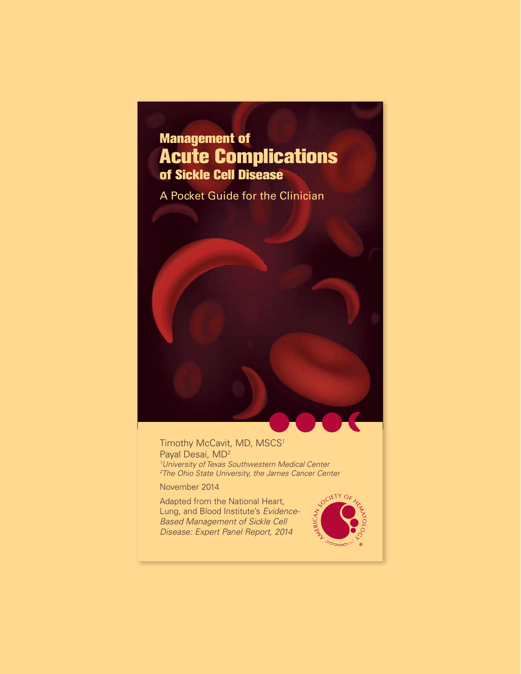## Management of Acute Complications of Sickle Cell Disease

A Pocket Guide for the Clinician

Timothy McCavit, MD, MSCS<sup>1</sup> Payal Desai, MD2 *1 University of Texas Southwestern Medical Center 2 The Ohio State University, the James Cancer Center*

November 2014

Adapted from the National Heart, Lung, and Blood Institute's *Evidence-Based Management of Sickle Cell Disease: Expert Panel Report, 2014*

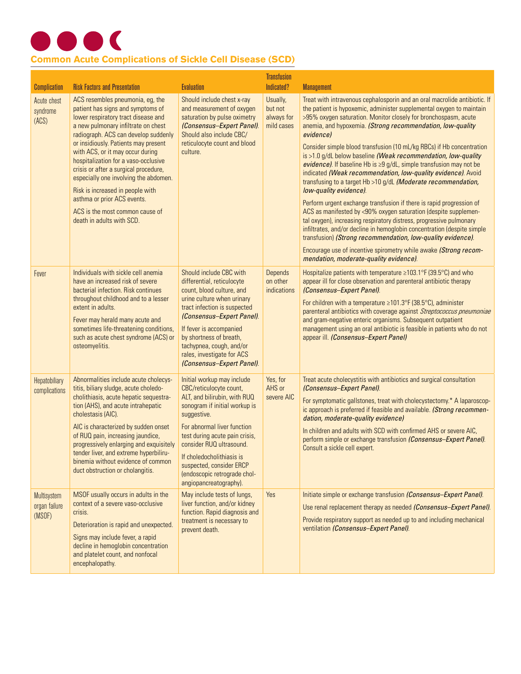

|                                        |                                                                                                                                                                                                                                                                                                                                                                                                                                                                                                                                      |                                                                                                                                                                                                                                                                                                                                                       | <b>Transfusion</b>                              |                                                                                                                                                                                                                                                                                                                                                                                                                                                                                                                                                                                                                                                                                                                                                                                                                                                                                                                                                                                                                                                                                                                                                             |
|----------------------------------------|--------------------------------------------------------------------------------------------------------------------------------------------------------------------------------------------------------------------------------------------------------------------------------------------------------------------------------------------------------------------------------------------------------------------------------------------------------------------------------------------------------------------------------------|-------------------------------------------------------------------------------------------------------------------------------------------------------------------------------------------------------------------------------------------------------------------------------------------------------------------------------------------------------|-------------------------------------------------|-------------------------------------------------------------------------------------------------------------------------------------------------------------------------------------------------------------------------------------------------------------------------------------------------------------------------------------------------------------------------------------------------------------------------------------------------------------------------------------------------------------------------------------------------------------------------------------------------------------------------------------------------------------------------------------------------------------------------------------------------------------------------------------------------------------------------------------------------------------------------------------------------------------------------------------------------------------------------------------------------------------------------------------------------------------------------------------------------------------------------------------------------------------|
| <b>Complication</b>                    | <b>Risk Factors and Presentation</b>                                                                                                                                                                                                                                                                                                                                                                                                                                                                                                 | <b>Evaluation</b>                                                                                                                                                                                                                                                                                                                                     | Indicated?                                      | <b>Management</b>                                                                                                                                                                                                                                                                                                                                                                                                                                                                                                                                                                                                                                                                                                                                                                                                                                                                                                                                                                                                                                                                                                                                           |
| Acute chest<br>syndrome<br>(ACS)       | ACS resembles pneumonia, eg, the<br>patient has signs and symptoms of<br>lower respiratory tract disease and<br>a new pulmonary infiltrate on chest<br>radiograph. ACS can develop suddenly<br>or insidiously. Patients may present<br>with ACS, or it may occur during<br>hospitalization for a vaso-occlusive<br>crisis or after a surgical procedure,<br>especially one involving the abdomen.<br>Risk is increased in people with<br>asthma or prior ACS events.<br>ACS is the most common cause of<br>death in adults with SCD. | Should include chest x-ray<br>and measurement of oxygen<br>saturation by pulse oximetry<br>(Consensus-Expert Panel).<br>Should also include CBC/<br>reticulocyte count and blood<br>culture.                                                                                                                                                          | Usually,<br>but not<br>always for<br>mild cases | Treat with intravenous cephalosporin and an oral macrolide antibiotic. If<br>the patient is hypoxemic, administer supplemental oxygen to maintain<br>>95% oxygen saturation. Monitor closely for bronchospasm, acute<br>anemia, and hypoxemia. (Strong recommendation, low-quality<br>evidence)<br>Consider simple blood transfusion (10 mL/kg RBCs) if Hb concentration<br>is >1.0 g/dL below baseline (Weak recommendation, low-quality<br>evidence). If baseline Hb is $\geq$ 9 g/dL, simple transfusion may not be<br>indicated (Weak recommendation, low-quality evidence). Avoid<br>transfusing to a target Hb >10 g/dL (Moderate recommendation,<br>low-quality evidence).<br>Perform urgent exchange transfusion if there is rapid progression of<br>ACS as manifested by <90% oxygen saturation (despite supplemen-<br>tal oxygen), increasing respiratory distress, progressive pulmonary<br>infiltrates, and/or decline in hemoglobin concentration (despite simple<br>transfusion) (Strong recommendation, low-quality evidence).<br>Encourage use of incentive spirometry while awake (Strong recom-<br>mendation, moderate-quality evidence). |
| Fever                                  | Individuals with sickle cell anemia<br>have an increased risk of severe<br>bacterial infection. Risk continues<br>throughout childhood and to a lesser<br>extent in adults.<br>Fever may herald many acute and<br>sometimes life-threatening conditions,<br>such as acute chest syndrome (ACS) or<br>osteomyelitis.                                                                                                                                                                                                                  | Should include CBC with<br>differential, reticulocyte<br>count, blood culture, and<br>urine culture when urinary<br>tract infection is suspected<br>(Consensus-Expert Panel).<br>If fever is accompanied<br>by shortness of breath,<br>tachypnea, cough, and/or<br>rales, investigate for ACS<br>(Consensus-Expert Panel).                            | Depends<br>on other<br>indications              | Hospitalize patients with temperature ≥103.1°F (39.5°C) and who<br>appear ill for close observation and parenteral antibiotic therapy<br>(Consensus-Expert Panel).<br>For children with a temperature $\geq 101.3^{\circ}F(38.5^{\circ}C)$ , administer<br>parenteral antibiotics with coverage against Streptococcus pneumoniae<br>and gram-negative enteric organisms. Subsequent outpatient<br>management using an oral antibiotic is feasible in patients who do not<br>appear ill. (Consensus-Expert Panel)                                                                                                                                                                                                                                                                                                                                                                                                                                                                                                                                                                                                                                            |
| Hepatobiliary<br>complications         | Abnormalities include acute cholecys-<br>titis, biliary sludge, acute choledo-<br>cholithiasis, acute hepatic sequestra-<br>tion (AHS), and acute intrahepatic<br>cholestasis (AIC).<br>AIC is characterized by sudden onset<br>of RUQ pain, increasing jaundice,<br>progressively enlarging and exquisitely<br>tender liver, and extreme hyperbiliru-<br>binemia without evidence of common<br>duct obstruction or cholangitis.                                                                                                     | Initial workup may include<br>CBC/reticulocyte count,<br>ALT, and bilirubin, with RUQ<br>sonogram if initial workup is<br>suggestive.<br>For abnormal liver function<br>test during acute pain crisis,<br>consider RUQ ultrasound.<br>If choledocholithiasis is<br>suspected, consider ERCP<br>(endoscopic retrograde chol-<br>angiopancreatography). | Yes, for<br>AHS or<br>severe AIC                | Treat acute cholecystitis with antibiotics and surgical consultation<br>(Consensus-Expert Panel).<br>For symptomatic gallstones, treat with cholecystectomy.* A laparoscop-<br>ic approach is preferred if feasible and available. (Strong recommen-<br>dation, moderate-quality evidence)<br>In children and adults with SCD with confirmed AHS or severe AIC,<br>perform simple or exchange transfusion (Consensus-Expert Panel).<br>Consult a sickle cell expert.                                                                                                                                                                                                                                                                                                                                                                                                                                                                                                                                                                                                                                                                                        |
| Multisystem<br>organ failure<br>(MSOF) | MSOF usually occurs in adults in the<br>context of a severe vaso-occlusive<br>crisis.<br>Deterioration is rapid and unexpected.<br>Signs may include fever, a rapid<br>decline in hemoglobin concentration<br>and platelet count, and nonfocal<br>encephalopathy.                                                                                                                                                                                                                                                                    | May include tests of lungs,<br>liver function, and/or kidney<br>function. Rapid diagnosis and<br>treatment is necessary to<br>prevent death.                                                                                                                                                                                                          | Yes                                             | Initiate simple or exchange transfusion (Consensus-Expert Panel).<br>Use renal replacement therapy as needed (Consensus-Expert Panel).<br>Provide respiratory support as needed up to and including mechanical<br>ventilation (Consensus-Expert Panel).                                                                                                                                                                                                                                                                                                                                                                                                                                                                                                                                                                                                                                                                                                                                                                                                                                                                                                     |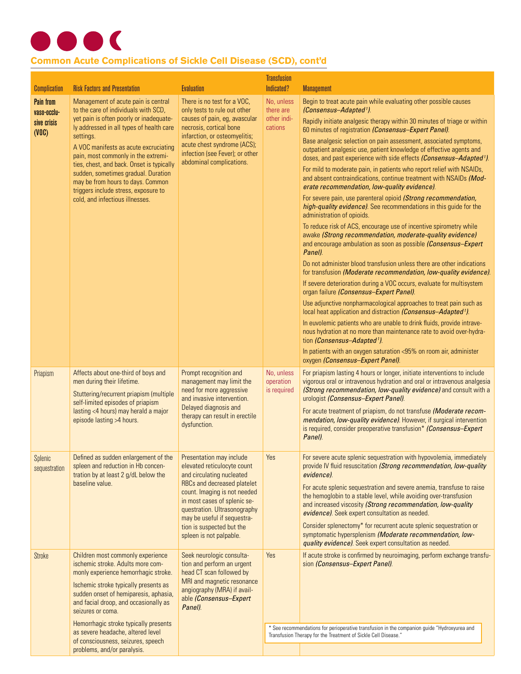

### **Common Acute Complications of Sickle Cell Disease (SCD), cont'd**

| <b>Complication</b>                                     | <b>Risk Factors and Presentation</b>                                                                                                                                                                                                                                                                                                                                                                                                                                | <b>Evaluation</b>                                                                                                                                                                                                                                                                                          | <b>Transfusion</b><br>Indicated?                  | <b>Management</b>                                                                                                                                                                                                                                                                                                                                                                                                                                                                                                                                                                                                                                                                                                                                                                                                                                                                                                                                                                                                                                                                                                                                                                                                                                                                                                                                                                                                                                                                                                                                                                                                                                                                                                                                                                        |
|---------------------------------------------------------|---------------------------------------------------------------------------------------------------------------------------------------------------------------------------------------------------------------------------------------------------------------------------------------------------------------------------------------------------------------------------------------------------------------------------------------------------------------------|------------------------------------------------------------------------------------------------------------------------------------------------------------------------------------------------------------------------------------------------------------------------------------------------------------|---------------------------------------------------|------------------------------------------------------------------------------------------------------------------------------------------------------------------------------------------------------------------------------------------------------------------------------------------------------------------------------------------------------------------------------------------------------------------------------------------------------------------------------------------------------------------------------------------------------------------------------------------------------------------------------------------------------------------------------------------------------------------------------------------------------------------------------------------------------------------------------------------------------------------------------------------------------------------------------------------------------------------------------------------------------------------------------------------------------------------------------------------------------------------------------------------------------------------------------------------------------------------------------------------------------------------------------------------------------------------------------------------------------------------------------------------------------------------------------------------------------------------------------------------------------------------------------------------------------------------------------------------------------------------------------------------------------------------------------------------------------------------------------------------------------------------------------------------|
| <b>Pain from</b><br>vaso-occlu-<br>sive crisis<br>(000) | Management of acute pain is central<br>to the care of individuals with SCD,<br>yet pain is often poorly or inadequate-<br>ly addressed in all types of health care<br>settings.<br>A VOC manifests as acute excruciating<br>pain, most commonly in the extremi-<br>ties, chest, and back. Onset is typically<br>sudden, sometimes gradual. Duration<br>may be from hours to days. Common<br>triggers include stress, exposure to<br>cold, and infectious illnesses. | There is no test for a VOC,<br>only tests to rule out other<br>causes of pain, eg, avascular<br>necrosis, cortical bone<br>infarction, or osteomyelitis;<br>acute chest syndrome (ACS);<br>infection (see Fever); or other<br>abdominal complications.                                                     | No, unless<br>there are<br>other indi-<br>cations | Begin to treat acute pain while evaluating other possible causes<br>(Consensus-Adapted <sup>1</sup> ).<br>Rapidly initiate analgesic therapy within 30 minutes of triage or within<br>60 minutes of registration (Consensus-Expert Panel).<br>Base analgesic selection on pain assessment, associated symptoms,<br>outpatient analgesic use, patient knowledge of effective agents and<br>doses, and past experience with side effects (Consensus-Adapted <sup>1</sup> ).<br>For mild to moderate pain, in patients who report relief with NSAIDs,<br>and absent contraindications, continue treatment with NSAIDs (Mod-<br>erate recommendation, low-quality evidence).<br>For severe pain, use parenteral opioid (Strong recommendation,<br>high-quality evidence). See recommendations in this guide for the<br>administration of opioids.<br>To reduce risk of ACS, encourage use of incentive spirometry while<br>awake (Strong recommendation, moderate-quality evidence)<br>and encourage ambulation as soon as possible (Consensus-Expert<br>Panel).<br>Do not administer blood transfusion unless there are other indications<br>for transfusion (Moderate recommendation, low-quality evidence).<br>If severe deterioration during a VOC occurs, evaluate for multisystem<br>organ failure (Consensus-Expert Panel).<br>Use adjunctive nonpharmacological approaches to treat pain such as<br>local heat application and distraction (Consensus-Adapted <sup>1</sup> ).<br>In euvolemic patients who are unable to drink fluids, provide intrave-<br>nous hydration at no more than maintenance rate to avoid over-hydra-<br>tion (Consensus-Adapted <sup>1</sup> ).<br>In patients with an oxygen saturation <95% on room air, administer<br>oxygen (Consensus-Expert Panel). |
| Priapism                                                | Affects about one-third of boys and<br>men during their lifetime.<br>Stuttering/recurrent priapism (multiple<br>self-limited episodes of priapism<br>lasting <4 hours) may herald a major<br>episode lasting >4 hours.                                                                                                                                                                                                                                              | Prompt recognition and<br>management may limit the<br>need for more aggressive<br>and invasive intervention.<br>Delayed diagnosis and<br>therapy can result in erectile<br>dysfunction.                                                                                                                    | No, unless<br>operation<br>is required            | For priapism lasting 4 hours or longer, initiate interventions to include<br>vigorous oral or intravenous hydration and oral or intravenous analgesia<br>(Strong recommendation, low-quality evidence) and consult with a<br>urologist (Consensus-Expert Panel).<br>For acute treatment of priapism, do not transfuse (Moderate recom-<br>mendation, low-quality evidence). However, if surgical intervention<br>is required, consider preoperative transfusion* (Consensus-Expert<br>Panel).                                                                                                                                                                                                                                                                                                                                                                                                                                                                                                                                                                                                                                                                                                                                                                                                                                                                                                                                                                                                                                                                                                                                                                                                                                                                                            |
| Splenic<br>sequestration                                | Defined as sudden enlargement of the<br>spleen and reduction in Hb concen-<br>tration by at least 2 g/dL below the<br>baseline value.                                                                                                                                                                                                                                                                                                                               | Presentation may include<br>elevated reticulocyte count<br>and circulating nucleated<br>RBCs and decreased platelet<br>count. Imaging is not needed<br>in most cases of splenic se-<br>questration. Ultrasonography<br>may be useful if sequestra-<br>tion is suspected but the<br>spleen is not palpable. | Yes                                               | For severe acute splenic sequestration with hypovolemia, immediately<br>provide IV fluid resuscitation (Strong recommendation, low-quality<br>evidence).<br>For acute splenic sequestration and severe anemia, transfuse to raise<br>the hemoglobin to a stable level, while avoiding over-transfusion<br>and increased viscosity (Strong recommendation, low-quality<br>evidence). Seek expert consultation as needed.<br>Consider splenectomy* for recurrent acute splenic sequestration or<br>symptomatic hypersplenism (Moderate recommendation, low-<br>quality evidence). Seek expert consultation as needed.                                                                                                                                                                                                                                                                                                                                                                                                                                                                                                                                                                                                                                                                                                                                                                                                                                                                                                                                                                                                                                                                                                                                                                      |
| Stroke                                                  | Children most commonly experience<br>ischemic stroke. Adults more com-<br>monly experience hemorrhagic stroke.<br>Ischemic stroke typically presents as<br>sudden onset of hemiparesis, aphasia,<br>and facial droop, and occasionally as<br>seizures or coma.<br>Hemorrhagic stroke typically presents<br>as severe headache, altered level<br>of consciousness, seizures, speech<br>problems, and/or paralysis.                                                   | Seek neurologic consulta-<br>tion and perform an urgent<br>head CT scan followed by<br>MRI and magnetic resonance<br>angiography (MRA) if avail-<br>able (Consensus-Expert<br>Panel).                                                                                                                      | Yes                                               | If acute stroke is confirmed by neuroimaging, perform exchange transfu-<br>sion (Consensus-Expert Panel).<br>* See recommendations for perioperative transfusion in the companion guide "Hydroxyurea and<br>Transfusion Therapy for the Treatment of Sickle Cell Disease."                                                                                                                                                                                                                                                                                                                                                                                                                                                                                                                                                                                                                                                                                                                                                                                                                                                                                                                                                                                                                                                                                                                                                                                                                                                                                                                                                                                                                                                                                                               |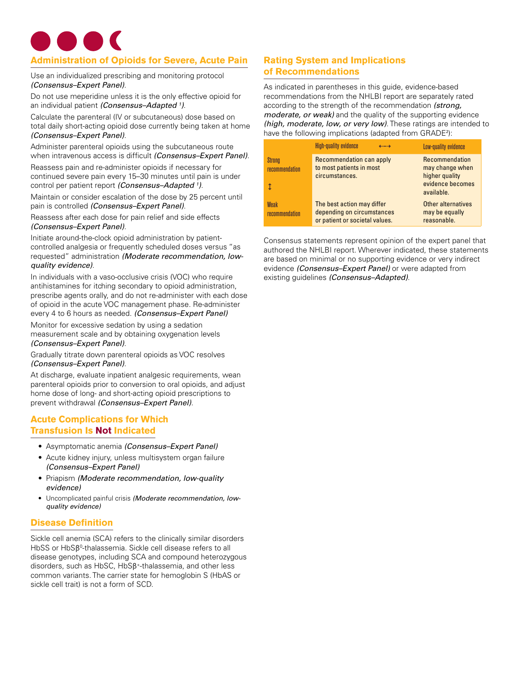# **Administration of Opioids for Severe, Acute Pain**

Use an individualized prescribing and monitoring protocol *(Consensus–Expert Panel)*.

Do not use meperidine unless it is the only effective opioid for an individual patient *(Consensus–Adapted 1 )*.

Calculate the parenteral (IV or subcutaneous) dose based on total daily short-acting opioid dose currently being taken at home *(Consensus–Expert Panel)*.

Administer parenteral opioids using the subcutaneous route when intravenous access is difficult *(Consensus–Expert Panel)*.

Reassess pain and re-administer opioids if necessary for continued severe pain every 15–30 minutes until pain is under control per patient report *(Consensus–Adapted 1 )*.

Maintain or consider escalation of the dose by 25 percent until pain is controlled *(Consensus–Expert Panel)*.

Reassess after each dose for pain relief and side effects *(Consensus–Expert Panel)*.

Initiate around-the-clock opioid administration by patientcontrolled analgesia or frequently scheduled doses versus "as requested" administration *(Moderate recommendation, lowquality evidence)*.

In individuals with a vaso-occlusive crisis (VOC) who require antihistamines for itching secondary to opioid administration, prescribe agents orally, and do not re-administer with each dose of opioid in the acute VOC management phase. Re-administer every 4 to 6 hours as needed. *(Consensus–Expert Panel)*

Monitor for excessive sedation by using a sedation measurement scale and by obtaining oxygenation levels *(Consensus–Expert Panel)*.

Gradually titrate down parenteral opioids as VOC resolves *(Consensus–Expert Panel)*.

At discharge, evaluate inpatient analgesic requirements, wean parenteral opioids prior to conversion to oral opioids, and adjust home dose of long- and short-acting opioid prescriptions to prevent withdrawal *(Consensus–Expert Panel)*.

#### **Acute Complications for Which Transfusion Is Not Indicated**

- • Asymptomatic anemia *(Consensus–Expert Panel)*
- Acute kidney injury, unless multisystem organ failure *(Consensus–Expert Panel)*
- • Priapism *(Moderate recommendation, low-quality evidence)*
- • Uncomplicated painful crisis *(Moderate recommendation, lowquality evidence)*

#### **Disease Definition**

Sickle cell anemia (SCA) refers to the clinically similar disorders HbSS or HbSβ<sup>0</sup>-thalassemia. Sickle cell disease refers to all disease genotypes, including SCA and compound heterozygous disorders, such as HbSC, HbSβ+-thalassemia, and other less common variants. The carrier state for hemoglobin S (HbAS or sickle cell trait) is not a form of SCD.

#### **Rating System and Implications of Recommendations**

As indicated in parentheses in this guide, evidence-based recommendations from the NHLBI report are separately rated according to the strength of the recommendation *(strong, moderate, or weak)* and the quality of the supporting evidence *(high, moderate, low, or very low)*. These ratings are intended to have the following implications (adapted from GRADE<sup>2</sup>):

|                                 | <b>High-quality evidence</b><br>$\leftarrow$                                               | Low-quality evidence                                                                  |
|---------------------------------|--------------------------------------------------------------------------------------------|---------------------------------------------------------------------------------------|
| <b>Strong</b><br>recommendation | Recommendation can apply<br>to most patients in most<br>circumstances.                     | Recommendation<br>may change when<br>higher quality<br>evidence becomes<br>available. |
| <b>Weak</b><br>recommendation   | The best action may differ<br>depending on circumstances<br>or patient or societal values. | Other alternatives<br>may be equally<br>reasonable.                                   |

Consensus statements represent opinion of the expert panel that authored the NHLBI report. Wherever indicated, these statements are based on minimal or no supporting evidence or very indirect evidence *(Consensus–Expert Panel)* or were adapted from existing guidelines *(Consensus–Adapted)*.